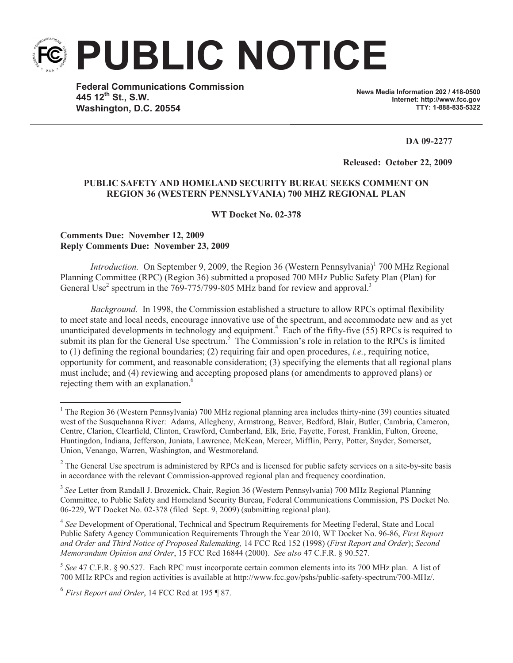**PUBLIC NOTICE**

**Federal Communications Commission 445 12th St., S.W. Washington, D.C. 20554**

**News Media Information 202 / 418-0500 Internet: http://www.fcc.gov TTY: 1-888-835-5322**

**DA 09-2277**

**Released: October 22, 2009** 

## **PUBLIC SAFETY AND HOMELAND SECURITY BUREAU SEEKS COMMENT ON REGION 36 (WESTERN PENNSLYVANIA) 700 MHZ REGIONAL PLAN**

**WT Docket No. 02-378**

## **Comments Due: November 12, 2009 Reply Comments Due: November 23, 2009**

*Introduction.* On September 9, 2009, the Region 36 (Western Pennsylvania)<sup>1</sup> 700 MHz Regional Planning Committee (RPC) (Region 36) submitted a proposed 700 MHz Public Safety Plan (Plan) for General Use<sup>2</sup> spectrum in the 769-775/799-805 MHz band for review and approval.<sup>3</sup>

*Background.* In 1998, the Commission established a structure to allow RPCs optimal flexibility to meet state and local needs, encourage innovative use of the spectrum, and accommodate new and as yet unanticipated developments in technology and equipment.<sup>4</sup> Each of the fifty-five (55) RPCs is required to submit its plan for the General Use spectrum.<sup>5</sup> The Commission's role in relation to the RPCs is limited to (1) defining the regional boundaries; (2) requiring fair and open procedures, *i.e.*, requiring notice, opportunity for comment, and reasonable consideration; (3) specifying the elements that all regional plans must include; and (4) reviewing and accepting proposed plans (or amendments to approved plans) or rejecting them with an explanation. 6

<sup>&</sup>lt;sup>1</sup> The Region 36 (Western Pennsylvania) 700 MHz regional planning area includes thirty-nine (39) counties situated west of the Susquehanna River: Adams, Allegheny, Armstrong, Beaver, Bedford, Blair, Butler, Cambria, Cameron, Centre, Clarion, Clearfield, Clinton, Crawford, Cumberland, Elk, Erie, Fayette, Forest, Franklin, Fulton, Greene, Huntingdon, Indiana, Jefferson, Juniata, Lawrence, McKean, Mercer, Mifflin, Perry, Potter, Snyder, Somerset, Union, Venango, Warren, Washington, and Westmoreland.

 $2^2$  The General Use spectrum is administered by RPCs and is licensed for public safety services on a site-by-site basis in accordance with the relevant Commission-approved regional plan and frequency coordination.

<sup>&</sup>lt;sup>3</sup> See Letter from Randall J. Brozenick, Chair, Region 36 (Western Pennsylvania) 700 MHz Regional Planning Committee, to Public Safety and Homeland Security Bureau, Federal Communications Commission, PS Docket No. 06-229, WT Docket No. 02-378 (filed Sept. 9, 2009) (submitting regional plan).

<sup>&</sup>lt;sup>4</sup> See Development of Operational, Technical and Spectrum Requirements for Meeting Federal, State and Local Public Safety Agency Communication Requirements Through the Year 2010, WT Docket No. 96-86, *First Report and Order and Third Notice of Proposed Rulemaking,* 14 FCC Rcd 152 (1998) (*First Report and Order*); *Second Memorandum Opinion and Order*, 15 FCC Rcd 16844 (2000). *See also* 47 C.F.R. § 90.527.

<sup>5</sup> *See* 47 C.F.R. § 90.527. Each RPC must incorporate certain common elements into its 700 MHz plan. A list of 700 MHz RPCs and region activities is available at http://www.fcc.gov/pshs/public-safety-spectrum/700-MHz/.

<sup>6</sup> *First Report and Order*, 14 FCC Rcd at 195 ¶ 87.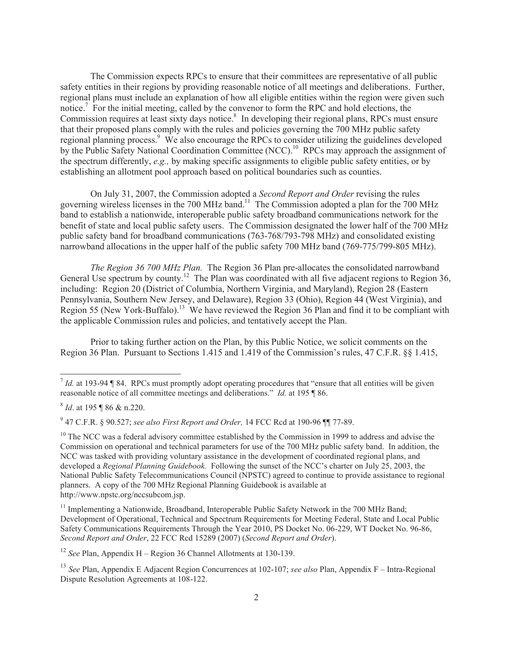The Commission expects RPCs to ensure that their committees are representative of all public safety entities in their regions by providing reasonable notice of all meetings and deliberations. Further, regional plans must include an explanation of how all eligible entities within the region were given such notice.<sup>7</sup> For the initial meeting, called by the convenor to form the RPC and hold elections, the Commission requires at least sixty days notice.<sup>8</sup> In developing their regional plans, RPCs must ensure that their proposed plans comply with the rules and policies governing the 700 MHz public safety regional planning process.<sup>9</sup> We also encourage the RPCs to consider utilizing the guidelines developed by the Public Safety National Coordination Committee (NCC).<sup>10</sup> RPCs may approach the assignment of the spectrum differently, *e.g.,* by making specific assignments to eligible public safety entities, or by establishing an allotment pool approach based on political boundaries such as counties.

On July 31, 2007, the Commission adopted a *Second Report and Order* revising the rules governing wireless licenses in the 700 MHz band.<sup>11</sup> The Commission adopted a plan for the 700 MHz band to establish a nationwide, interoperable public safety broadband communications network for the benefit of state and local public safety users. The Commission designated the lower half of the 700 MHz public safety band for broadband communications (763-768/793-798 MHz) and consolidated existing narrowband allocations in the upper half of the public safety 700 MHz band (769-775/799-805 MHz).

*The Region 36 700 MHz Plan.* The Region 36 Plan pre-allocates the consolidated narrowband General Use spectrum by county.<sup>12</sup> The Plan was coordinated with all five adjacent regions to Region 36, including: Region 20 (District of Columbia, Northern Virginia, and Maryland), Region 28 (Eastern Pennsylvania, Southern New Jersey, and Delaware), Region 33 (Ohio), Region 44 (West Virginia), and Region 55 (New York-Buffalo).<sup>13</sup> We have reviewed the Region 36 Plan and find it to be compliant with the applicable Commission rules and policies, and tentatively accept the Plan.

Prior to taking further action on the Plan, by this Public Notice, we solicit comments on the Region 36 Plan. Pursuant to Sections 1.415 and 1.419 of the Commission's rules, 47 C.F.R. §§ 1.415,

<sup>12</sup> *See* Plan, Appendix H – Region 36 Channel Allotments at 130-139.

 $<sup>7</sup>$  *Id.* at 193-94 ¶ 84. RPCs must promptly adopt operating procedures that "ensure that all entities will be given</sup> reasonable notice of all committee meetings and deliberations." *Id.* at 195 ¶ 86.

<sup>8</sup> *Id*. at 195 ¶ 86 & n.220.

<sup>9</sup> 47 C.F.R. § 90.527; *see also First Report and Order,* 14 FCC Rcd at 190-96 ¶¶ 77-89.

 $10$  The NCC was a federal advisory committee established by the Commission in 1999 to address and advise the Commission on operational and technical parameters for use of the 700 MHz public safety band. In addition, the NCC was tasked with providing voluntary assistance in the development of coordinated regional plans, and developed a *Regional Planning Guidebook.* Following the sunset of the NCC's charter on July 25, 2003, the National Public Safety Telecommunications Council (NPSTC) agreed to continue to provide assistance to regional planners. A copy of the 700 MHz Regional Planning Guidebook is available at http://www.npstc.org/nccsubcom.jsp.

<sup>&</sup>lt;sup>11</sup> Implementing a Nationwide, Broadband, Interoperable Public Safety Network in the 700 MHz Band; Development of Operational, Technical and Spectrum Requirements for Meeting Federal, State and Local Public Safety Communications Requirements Through the Year 2010, PS Docket No. 06-229, WT Docket No. 96-86, *Second Report and Order*, 22 FCC Rcd 15289 (2007) (*Second Report and Order*).

<sup>13</sup> *See* Plan, Appendix E Adjacent Region Concurrences at 102-107; *see also* Plan, Appendix F – Intra-Regional Dispute Resolution Agreements at 108-122.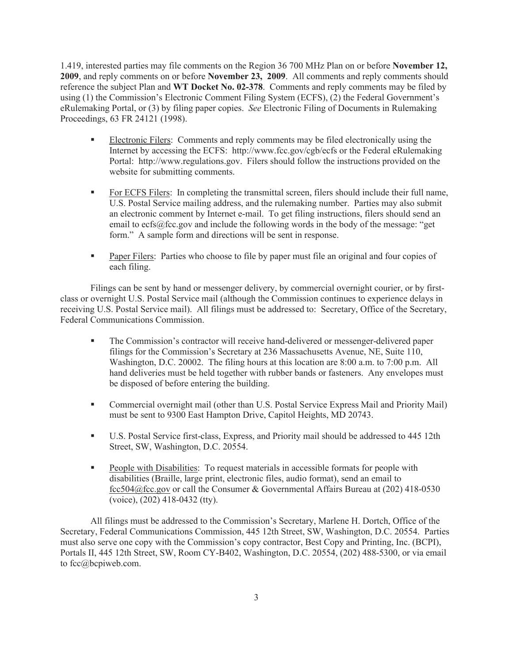1.419, interested parties may file comments on the Region 36 700 MHz Plan on or before **November 12, 2009**, and reply comments on or before **November 23, 2009**. All comments and reply comments should reference the subject Plan and **WT Docket No. 02-378**. Comments and reply comments may be filed by using (1) the Commission's Electronic Comment Filing System (ECFS), (2) the Federal Government's eRulemaking Portal, or (3) by filing paper copies. *See* Electronic Filing of Documents in Rulemaking Proceedings, 63 FR 24121 (1998).

- **•** Electronic Filers: Comments and reply comments may be filed electronically using the Internet by accessing the ECFS: http://www.fcc.gov/cgb/ecfs or the Federal eRulemaking Portal: http://www.regulations.gov. Filers should follow the instructions provided on the website for submitting comments.
- **For ECFS Filers:** In completing the transmittal screen, filers should include their full name, U.S. Postal Service mailing address, and the rulemaking number. Parties may also submit an electronic comment by Internet e-mail. To get filing instructions, filers should send an email to ecfs@fcc.gov and include the following words in the body of the message: "get form." A sample form and directions will be sent in response.
- § Paper Filers: Parties who choose to file by paper must file an original and four copies of each filing.

Filings can be sent by hand or messenger delivery, by commercial overnight courier, or by firstclass or overnight U.S. Postal Service mail (although the Commission continues to experience delays in receiving U.S. Postal Service mail). All filings must be addressed to: Secretary, Office of the Secretary, Federal Communications Commission.

- § The Commission's contractor will receive hand-delivered or messenger-delivered paper filings for the Commission's Secretary at 236 Massachusetts Avenue, NE, Suite 110, Washington, D.C. 20002. The filing hours at this location are 8:00 a.m. to 7:00 p.m. All hand deliveries must be held together with rubber bands or fasteners. Any envelopes must be disposed of before entering the building.
- Commercial overnight mail (other than U.S. Postal Service Express Mail and Priority Mail) must be sent to 9300 East Hampton Drive, Capitol Heights, MD 20743.
- U.S. Postal Service first-class, Express, and Priority mail should be addressed to 445 12th Street, SW, Washington, D.C. 20554.
- § People with Disabilities: To request materials in accessible formats for people with disabilities (Braille, large print, electronic files, audio format), send an email to fcc504@fcc.gov or call the Consumer & Governmental Affairs Bureau at (202) 418-0530 (voice), (202) 418-0432 (tty).

All filings must be addressed to the Commission's Secretary, Marlene H. Dortch, Office of the Secretary, Federal Communications Commission, 445 12th Street, SW, Washington, D.C. 20554. Parties must also serve one copy with the Commission's copy contractor, Best Copy and Printing, Inc. (BCPI), Portals II, 445 12th Street, SW, Room CY-B402, Washington, D.C. 20554, (202) 488-5300, or via email to fcc@bcpiweb.com.